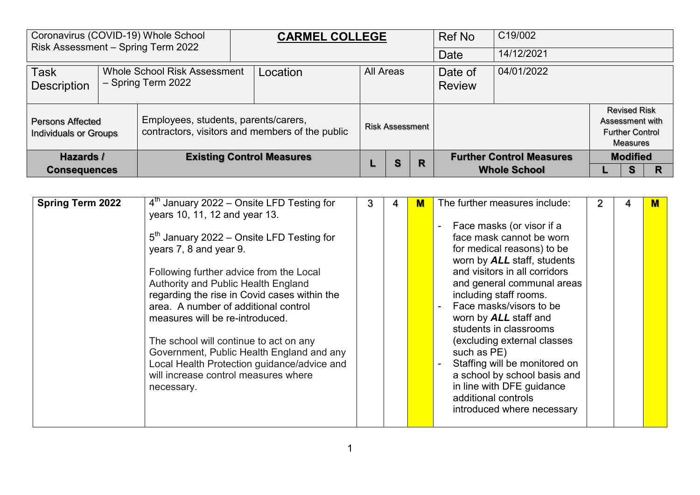| Risk Assessment - Spring Term 2022                      | Coronavirus (COVID-19) Whole School                                                     | <b>CARMEL COLLEGE</b>            |                  |                        |   | Ref No                   | C19/002                                                |                                                                                     |  |
|---------------------------------------------------------|-----------------------------------------------------------------------------------------|----------------------------------|------------------|------------------------|---|--------------------------|--------------------------------------------------------|-------------------------------------------------------------------------------------|--|
|                                                         |                                                                                         |                                  |                  |                        |   | Date                     | 14/12/2021                                             |                                                                                     |  |
| <b>Task</b><br><b>Description</b>                       | <b>Whole School Risk Assessment</b><br>- Spring Term 2022                               | Location                         | <b>All Areas</b> |                        |   | Date of<br><b>Review</b> | 04/01/2022                                             |                                                                                     |  |
| <b>Persons Affected</b><br><b>Individuals or Groups</b> | Employees, students, parents/carers,<br>contractors, visitors and members of the public |                                  |                  | <b>Risk Assessment</b> |   |                          |                                                        | <b>Revised Risk</b><br>Assessment with<br><b>Further Control</b><br><b>Measures</b> |  |
| Hazards /<br><b>Consequences</b>                        |                                                                                         | <b>Existing Control Measures</b> |                  | <b>S</b>               | R |                          | <b>Further Control Measures</b><br><b>Whole School</b> | <b>Modified</b><br>s                                                                |  |

| <b>Spring Term 2022</b> | $4th$ January 2022 – Onsite LFD Testing for<br>years 10, 11, 12 and year 13.                                                                                                                                                                                                                                                                                                                                                                                                   | 3 | 4 | М | The further measures include:                                                                                                                                                                                                                                                                                                                                                                                                                                                                     | 2 |  |
|-------------------------|--------------------------------------------------------------------------------------------------------------------------------------------------------------------------------------------------------------------------------------------------------------------------------------------------------------------------------------------------------------------------------------------------------------------------------------------------------------------------------|---|---|---|---------------------------------------------------------------------------------------------------------------------------------------------------------------------------------------------------------------------------------------------------------------------------------------------------------------------------------------------------------------------------------------------------------------------------------------------------------------------------------------------------|---|--|
|                         | $5th$ January 2022 – Onsite LFD Testing for<br>years 7, 8 and year 9.<br>Following further advice from the Local<br>Authority and Public Health England<br>regarding the rise in Covid cases within the<br>area. A number of additional control<br>measures will be re-introduced.<br>The school will continue to act on any<br>Government, Public Health England and any<br>Local Health Protection guidance/advice and<br>will increase control measures where<br>necessary. |   |   |   | Face masks (or visor if a<br>face mask cannot be worn<br>for medical reasons) to be<br>worn by ALL staff, students<br>and visitors in all corridors<br>and general communal areas<br>including staff rooms.<br>Face masks/visors to be<br>worn by <b>ALL</b> staff and<br>students in classrooms<br>(excluding external classes<br>such as PE)<br>Staffing will be monitored on<br>a school by school basis and<br>in line with DFE guidance<br>additional controls<br>introduced where necessary |   |  |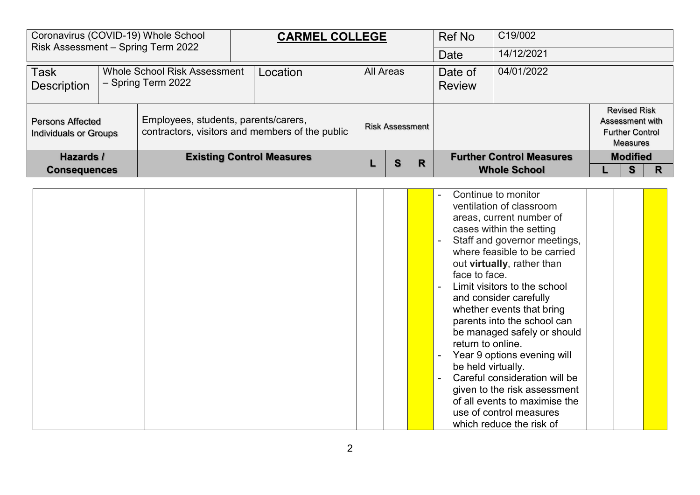| Coronavirus (COVID-19) Whole School<br>Risk Assessment - Spring Term 2022 |                                                           | <b>CARMEL COLLEGE</b>                           |                  |                        |   | <b>Ref No</b>            | C19/002                                                |                 |                                                           |  |
|---------------------------------------------------------------------------|-----------------------------------------------------------|-------------------------------------------------|------------------|------------------------|---|--------------------------|--------------------------------------------------------|-----------------|-----------------------------------------------------------|--|
|                                                                           |                                                           |                                                 |                  |                        |   | Date                     | 14/12/2021                                             |                 |                                                           |  |
| Task<br>Description                                                       | <b>Whole School Risk Assessment</b><br>- Spring Term 2022 | Location                                        | <b>All Areas</b> |                        |   | Date of<br><b>Review</b> | 04/01/2022                                             |                 |                                                           |  |
| <b>Persons Affected</b><br>Individuals or Groups                          | Employees, students, parents/carers,                      | contractors, visitors and members of the public |                  | <b>Risk Assessment</b> |   |                          |                                                        | Assessment with | <b>Revised Risk</b><br><b>Further Control</b><br>Measures |  |
| Hazards /<br><b>Consequences</b>                                          |                                                           | <b>Existing Control Measures</b>                |                  | S                      | R |                          | <b>Further Control Measures</b><br><b>Whole School</b> |                 | <b>Modified</b><br>S                                      |  |

|  | Continue to monitor<br>$\sim$<br>ventilation of classroom<br>areas, current number of<br>cases within the setting<br>Staff and governor meetings,<br>$\blacksquare$<br>where feasible to be carried<br>out virtually, rather than<br>face to face.<br>Limit visitors to the school<br>and consider carefully<br>whether events that bring<br>parents into the school can<br>be managed safely or should |
|--|---------------------------------------------------------------------------------------------------------------------------------------------------------------------------------------------------------------------------------------------------------------------------------------------------------------------------------------------------------------------------------------------------------|
|  | return to online.<br>Year 9 options evening will<br>$\overline{\phantom{a}}$                                                                                                                                                                                                                                                                                                                            |
|  | be held virtually.<br>Careful consideration will be<br>given to the risk assessment                                                                                                                                                                                                                                                                                                                     |
|  | of all events to maximise the<br>use of control measures<br>which reduce the risk of                                                                                                                                                                                                                                                                                                                    |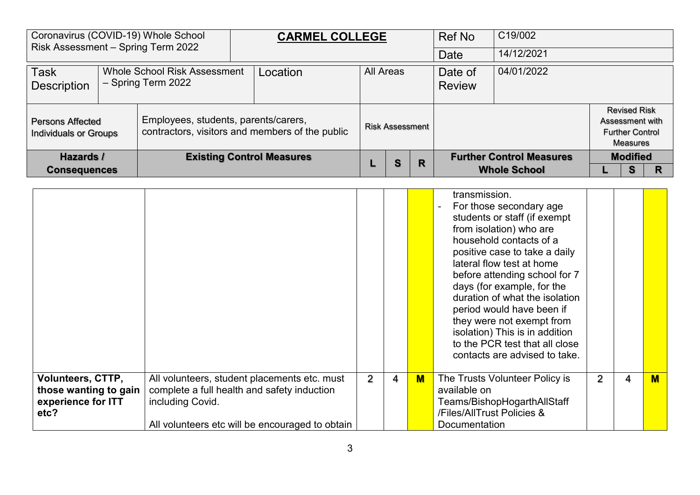| Risk Assessment - Spring Term 2022                      | Coronavirus (COVID-19) Whole School                | <b>CARMEL COLLEGE</b>                           |                  |                        |   | <b>Ref No</b>            | C19/002                         |                 |                                                           |  |
|---------------------------------------------------------|----------------------------------------------------|-------------------------------------------------|------------------|------------------------|---|--------------------------|---------------------------------|-----------------|-----------------------------------------------------------|--|
|                                                         |                                                    |                                                 |                  |                        |   | <b>Date</b>              | 14/12/2021                      |                 |                                                           |  |
| <b>Task</b><br><b>Description</b>                       | Whole School Risk Assessment<br>- Spring Term 2022 | Location                                        | <b>All Areas</b> |                        |   | Date of<br><b>Review</b> | 04/01/2022                      |                 |                                                           |  |
| <b>Persons Affected</b><br><b>Individuals or Groups</b> | Employees, students, parents/carers,               | contractors, visitors and members of the public |                  | <b>Risk Assessment</b> |   |                          |                                 | Assessment with | <b>Revised Risk</b><br><b>Further Control</b><br>Measures |  |
| Hazards /                                               |                                                    | <b>Existing Control Measures</b>                |                  | S                      | R |                          | <b>Further Control Measures</b> |                 | <b>Modified</b>                                           |  |
| <b>Consequences</b>                                     |                                                    |                                                 |                  |                        |   |                          | <b>Whole School</b>             |                 | s                                                         |  |

|                                                                                 |                                                                                                                                                                    |   |   |                         | transmission.<br>For those secondary age<br>students or staff (if exempt<br>from isolation) who are<br>household contacts of a<br>positive case to take a daily<br>lateral flow test at home<br>before attending school for 7<br>days (for example, for the<br>duration of what the isolation<br>period would have been if<br>they were not exempt from<br>isolation) This is in addition<br>to the PCR test that all close<br>contacts are advised to take. |   |   |   |
|---------------------------------------------------------------------------------|--------------------------------------------------------------------------------------------------------------------------------------------------------------------|---|---|-------------------------|--------------------------------------------------------------------------------------------------------------------------------------------------------------------------------------------------------------------------------------------------------------------------------------------------------------------------------------------------------------------------------------------------------------------------------------------------------------|---|---|---|
| <b>Volunteers, CTTP,</b><br>those wanting to gain<br>experience for ITT<br>etc? | All volunteers, student placements etc. must<br>complete a full health and safety induction<br>including Covid.<br>All volunteers etc will be encouraged to obtain | 2 | 4 | $\overline{\mathsf{M}}$ | The Trusts Volunteer Policy is<br>available on<br>Teams/BishopHogarthAllStaff<br>/Files/AllTrust Policies &<br><b>Documentation</b>                                                                                                                                                                                                                                                                                                                          | 2 | 4 | M |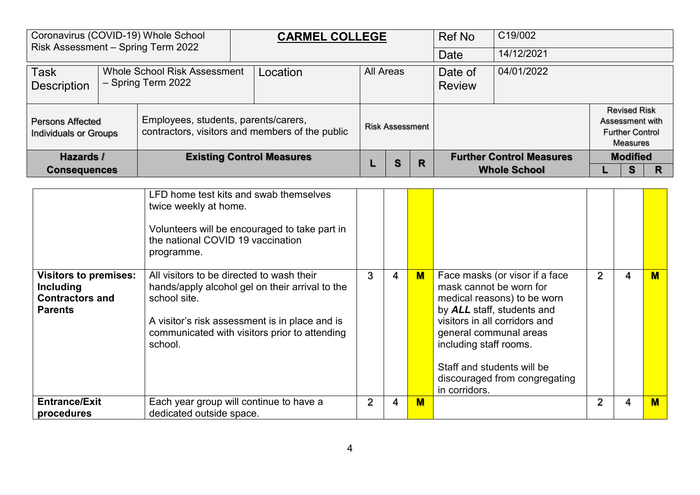| Coronavirus (COVID-19) Whole School<br>Risk Assessment - Spring Term 2022 |                                                           | <b>CARMEL COLLEGE</b>                           |           |                        |   | Ref No                   | C19/002                         |                                                                                     |  |
|---------------------------------------------------------------------------|-----------------------------------------------------------|-------------------------------------------------|-----------|------------------------|---|--------------------------|---------------------------------|-------------------------------------------------------------------------------------|--|
|                                                                           |                                                           |                                                 |           |                        |   | Date                     | 14/12/2021                      |                                                                                     |  |
| <b>Task</b><br>Description                                                | <b>Whole School Risk Assessment</b><br>- Spring Term 2022 | Location                                        | All Areas |                        |   | Date of<br><b>Review</b> | 04/01/2022                      |                                                                                     |  |
| <b>Persons Affected</b><br>Individuals or Groups                          | Employees, students, parents/carers,                      | contractors, visitors and members of the public |           | <b>Risk Assessment</b> |   |                          |                                 | <b>Revised Risk</b><br>Assessment with<br><b>Further Control</b><br><b>Measures</b> |  |
| Hazards /                                                                 |                                                           | <b>Existing Control Measures</b>                |           | S                      | R |                          | <b>Further Control Measures</b> | <b>Modified</b>                                                                     |  |
| <b>Consequences</b>                                                       |                                                           |                                                 |           |                        |   |                          | <b>Whole School</b>             | s                                                                                   |  |

|                                                                                       | LFD home test kits and swab themselves<br>twice weekly at home.<br>Volunteers will be encouraged to take part in<br>the national COVID 19 vaccination<br>programme.                                                        |   |   |              |                                                                                                                                                                                                                                                                                             |                |   |                         |
|---------------------------------------------------------------------------------------|----------------------------------------------------------------------------------------------------------------------------------------------------------------------------------------------------------------------------|---|---|--------------|---------------------------------------------------------------------------------------------------------------------------------------------------------------------------------------------------------------------------------------------------------------------------------------------|----------------|---|-------------------------|
| <b>Visitors to premises:</b><br>Including<br><b>Contractors and</b><br><b>Parents</b> | All visitors to be directed to wash their<br>hands/apply alcohol gel on their arrival to the<br>school site.<br>A visitor's risk assessment is in place and is<br>communicated with visitors prior to attending<br>school. | 3 | 4 | $\mathbf{M}$ | Face masks (or visor if a face<br>mask cannot be worn for<br>medical reasons) to be worn<br>by ALL staff, students and<br>visitors in all corridors and<br>general communal areas<br>including staff rooms.<br>Staff and students will be<br>discouraged from congregating<br>in corridors. | $\overline{2}$ | 4 | $\overline{\mathsf{M}}$ |
| <b>Entrance/Exit</b>                                                                  | Each year group will continue to have a                                                                                                                                                                                    | 2 | 4 | $M$          |                                                                                                                                                                                                                                                                                             | 2              | 4 | $M$                     |
| procedures                                                                            | dedicated outside space.                                                                                                                                                                                                   |   |   |              |                                                                                                                                                                                                                                                                                             |                |   |                         |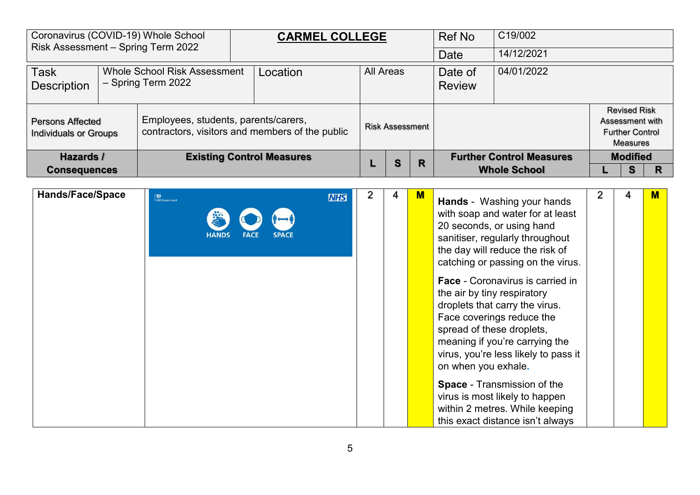| Risk Assessment - Spring Term 2022                      | Coronavirus (COVID-19) Whole School                       | <b>CARMEL COLLEGE</b>                           |                        |   | Ref No                   | C19/002                                                |                 |                                                           |   |
|---------------------------------------------------------|-----------------------------------------------------------|-------------------------------------------------|------------------------|---|--------------------------|--------------------------------------------------------|-----------------|-----------------------------------------------------------|---|
|                                                         |                                                           |                                                 |                        |   | <b>Date</b>              | 14/12/2021                                             |                 |                                                           |   |
| <b>Task</b><br><b>Description</b>                       | <b>Whole School Risk Assessment</b><br>- Spring Term 2022 | Location                                        | <b>All Areas</b>       |   | Date of<br><b>Review</b> | 04/01/2022                                             |                 |                                                           |   |
| <b>Persons Affected</b><br><b>Individuals or Groups</b> | Employees, students, parents/carers,                      | contractors, visitors and members of the public | <b>Risk Assessment</b> |   |                          |                                                        | Assessment with | <b>Revised Risk</b><br><b>Further Control</b><br>Measures |   |
| Hazards /<br><b>Consequences</b>                        |                                                           | <b>Existing Control Measures</b>                | S                      | R |                          | <b>Further Control Measures</b><br><b>Whole School</b> |                 | <b>Modified</b><br>s                                      | R |

| <b>Hands/Face/Space</b> | <b>检</b><br>HM Government<br>学<br><b>HANDS</b> | <b>NHS</b> | 4 | м | <b>Hands</b> - Washing your hands<br>with soap and water for at least<br>20 seconds, or using hand<br>sanitiser, regularly throughout<br>the day will reduce the risk of<br>catching or passing on the virus.<br><b>Face - Coronavirus is carried in</b><br>the air by tiny respiratory<br>droplets that carry the virus.<br>Face coverings reduce the<br>spread of these droplets,<br>meaning if you're carrying the<br>virus, you're less likely to pass it<br>on when you exhale.<br><b>Space - Transmission of the</b> | 2 | M |
|-------------------------|------------------------------------------------|------------|---|---|----------------------------------------------------------------------------------------------------------------------------------------------------------------------------------------------------------------------------------------------------------------------------------------------------------------------------------------------------------------------------------------------------------------------------------------------------------------------------------------------------------------------------|---|---|
|                         |                                                |            |   |   | virus is most likely to happen<br>within 2 metres. While keeping<br>this exact distance isn't always                                                                                                                                                                                                                                                                                                                                                                                                                       |   |   |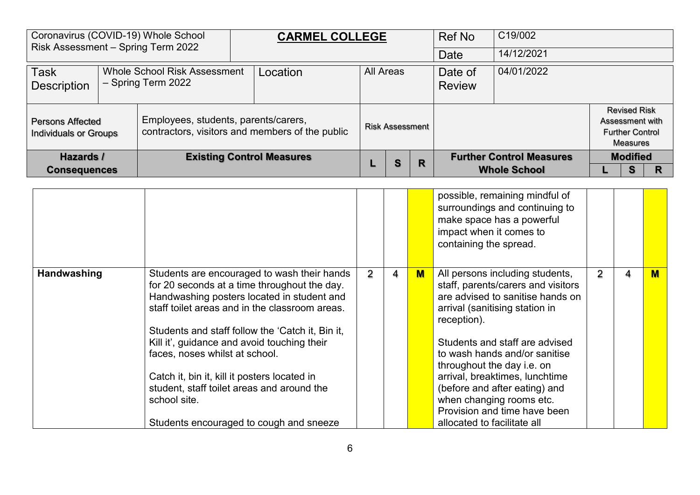| Coronavirus (COVID-19) Whole School<br>Risk Assessment - Spring Term 2022 |                                                                       |                                      | <b>CARMEL COLLEGE</b>                           |           |                        |   | Ref No                   | C19/002                         |                                                                              |  |
|---------------------------------------------------------------------------|-----------------------------------------------------------------------|--------------------------------------|-------------------------------------------------|-----------|------------------------|---|--------------------------|---------------------------------|------------------------------------------------------------------------------|--|
|                                                                           |                                                                       |                                      |                                                 |           |                        |   | Date                     | 14/12/2021                      |                                                                              |  |
| Task<br>Description                                                       | <b>Whole School Risk Assessment</b><br>Location<br>- Spring Term 2022 |                                      |                                                 | All Areas |                        |   | Date of<br><b>Review</b> | 04/01/2022                      |                                                                              |  |
| <b>Persons Affected</b><br><b>Individuals or Groups</b>                   |                                                                       | Employees, students, parents/carers, | contractors, visitors and members of the public |           | <b>Risk Assessment</b> |   |                          |                                 | <b>Revised Risk</b><br>Assessment with<br><b>Further Control</b><br>Measures |  |
| Hazards /                                                                 |                                                                       |                                      | <b>Existing Control Measures</b>                |           | S                      | R |                          | <b>Further Control Measures</b> | <b>Modified</b>                                                              |  |
| <b>Consequences</b>                                                       |                                                                       |                                      |                                                 |           |                        |   |                          | <b>Whole School</b>             | s                                                                            |  |

|             |                                                                                                                                                                                                                                                                                                                                                                                                                                                                                           |                |   |   | possible, remaining mindful of<br>surroundings and continuing to<br>make space has a powerful<br>impact when it comes to<br>containing the spread.                                                                                                                                                                                                                                                                        |   |   |   |
|-------------|-------------------------------------------------------------------------------------------------------------------------------------------------------------------------------------------------------------------------------------------------------------------------------------------------------------------------------------------------------------------------------------------------------------------------------------------------------------------------------------------|----------------|---|---|---------------------------------------------------------------------------------------------------------------------------------------------------------------------------------------------------------------------------------------------------------------------------------------------------------------------------------------------------------------------------------------------------------------------------|---|---|---|
| Handwashing | Students are encouraged to wash their hands<br>for 20 seconds at a time throughout the day.<br>Handwashing posters located in student and<br>staff toilet areas and in the classroom areas.<br>Students and staff follow the 'Catch it, Bin it,<br>Kill it', guidance and avoid touching their<br>faces, noses whilst at school.<br>Catch it, bin it, kill it posters located in<br>student, staff toilet areas and around the<br>school site.<br>Students encouraged to cough and sneeze | $\overline{2}$ | 4 | M | All persons including students,<br>staff, parents/carers and visitors<br>are advised to sanitise hands on<br>arrival (sanitising station in<br>reception).<br>Students and staff are advised<br>to wash hands and/or sanitise<br>throughout the day i.e. on<br>arrival, breaktimes, lunchtime<br>(before and after eating) and<br>when changing rooms etc.<br>Provision and time have been<br>allocated to facilitate all | 2 | 4 | м |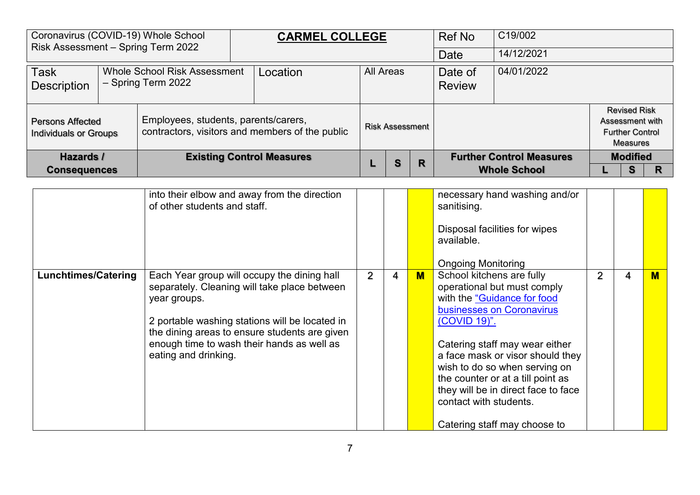| Coronavirus (COVID-19) Whole School<br>Risk Assessment - Spring Term 2022 |                                                           |                                      | <b>CARMEL COLLEGE</b>                           |           |                        |   | Ref No                   | C19/002                         |                                                                              |  |
|---------------------------------------------------------------------------|-----------------------------------------------------------|--------------------------------------|-------------------------------------------------|-----------|------------------------|---|--------------------------|---------------------------------|------------------------------------------------------------------------------|--|
|                                                                           |                                                           |                                      |                                                 |           |                        |   | Date                     | 14/12/2021                      |                                                                              |  |
| <b>Task</b><br>Description                                                | <b>Whole School Risk Assessment</b><br>- Spring Term 2022 |                                      | Location                                        | All Areas |                        |   | Date of<br><b>Review</b> | 04/01/2022                      |                                                                              |  |
| <b>Persons Affected</b><br>Individuals or Groups                          |                                                           | Employees, students, parents/carers, | contractors, visitors and members of the public |           | <b>Risk Assessment</b> |   |                          |                                 | <b>Revised Risk</b><br>Assessment with<br><b>Further Control</b><br>Measures |  |
| Hazards /                                                                 |                                                           |                                      | <b>Existing Control Measures</b>                |           | S                      | R |                          | <b>Further Control Measures</b> | <b>Modified</b>                                                              |  |
| <b>Consequences</b>                                                       |                                                           |                                      |                                                 |           |                        |   |                          | <b>Whole School</b>             | s                                                                            |  |

|                            | into their elbow and away from the direction<br>of other students and staff.                                                                                                                                                                                                         |                |   |   | necessary hand washing and/or<br>sanitising.<br>Disposal facilities for wipes<br>available.<br><b>Ongoing Monitoring</b>                                                                                                                                                                                                                                                          |                |   |                         |
|----------------------------|--------------------------------------------------------------------------------------------------------------------------------------------------------------------------------------------------------------------------------------------------------------------------------------|----------------|---|---|-----------------------------------------------------------------------------------------------------------------------------------------------------------------------------------------------------------------------------------------------------------------------------------------------------------------------------------------------------------------------------------|----------------|---|-------------------------|
| <b>Lunchtimes/Catering</b> | Each Year group will occupy the dining hall<br>separately. Cleaning will take place between<br>year groups.<br>2 portable washing stations will be located in<br>the dining areas to ensure students are given<br>enough time to wash their hands as well as<br>eating and drinking. | $\overline{2}$ | 4 | M | School kitchens are fully<br>operational but must comply<br>with the "Guidance for food<br>businesses on Coronavirus<br>(COVID 19)".<br>Catering staff may wear either<br>a face mask or visor should they<br>wish to do so when serving on<br>the counter or at a till point as<br>they will be in direct face to face<br>contact with students.<br>Catering staff may choose to | $\overline{2}$ | 4 | $\overline{\mathsf{M}}$ |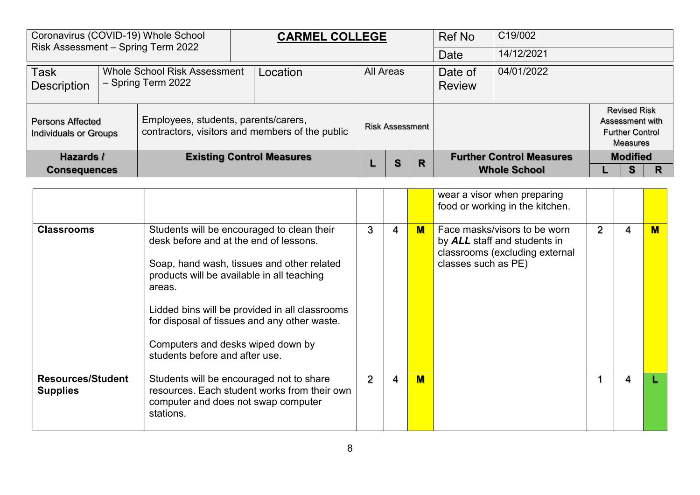| Risk Assessment - Spring Term 2022 |                                                           | Coronavirus (COVID-19) Whole School | <b>CARMEL COLLEGE</b>                                                                   |                  |                        |                          | <b>Ref No</b>                   | C19/002             |                                                                                     |  |
|------------------------------------|-----------------------------------------------------------|-------------------------------------|-----------------------------------------------------------------------------------------|------------------|------------------------|--------------------------|---------------------------------|---------------------|-------------------------------------------------------------------------------------|--|
|                                    |                                                           |                                     |                                                                                         |                  |                        |                          | Date                            | 14/12/2021          |                                                                                     |  |
| <b>Task</b><br><b>Description</b>  | <b>Whole School Risk Assessment</b><br>- Spring Term 2022 |                                     | Location                                                                                | <b>All Areas</b> |                        | Date of<br><b>Review</b> | 04/01/2022                      |                     |                                                                                     |  |
|                                    | <b>Persons Affected</b><br><b>Individuals or Groups</b>   |                                     | Employees, students, parents/carers,<br>contractors, visitors and members of the public |                  | <b>Risk Assessment</b> |                          |                                 |                     | <b>Revised Risk</b><br>Assessment with<br><b>Further Control</b><br><b>Measures</b> |  |
| Hazards /                          |                                                           | <b>Existing Control Measures</b>    |                                                                                         | S                | R                      |                          | <b>Further Control Measures</b> | <b>Modified</b>     |                                                                                     |  |
| <b>Consequences</b>                |                                                           |                                     |                                                                                         |                  |                        |                          |                                 | <b>Whole School</b> | s                                                                                   |  |

|                                             |                                                                                                                                                                                                                                                                                                                                                                     |                |   |     | wear a visor when preparing<br>food or working in the kitchen.                                                        |   |   |  |
|---------------------------------------------|---------------------------------------------------------------------------------------------------------------------------------------------------------------------------------------------------------------------------------------------------------------------------------------------------------------------------------------------------------------------|----------------|---|-----|-----------------------------------------------------------------------------------------------------------------------|---|---|--|
| <b>Classrooms</b>                           | Students will be encouraged to clean their<br>desk before and at the end of lessons.<br>Soap, hand wash, tissues and other related<br>products will be available in all teaching<br>areas.<br>Lidded bins will be provided in all classrooms<br>for disposal of tissues and any other waste.<br>Computers and desks wiped down by<br>students before and after use. | 3              | 4 | $M$ | Face masks/visors to be worn<br>by ALL staff and students in<br>classrooms (excluding external<br>classes such as PE) | 2 | 4 |  |
| <b>Resources/Student</b><br><b>Supplies</b> | Students will be encouraged not to share<br>resources. Each student works from their own<br>computer and does not swap computer<br>stations.                                                                                                                                                                                                                        | $\overline{2}$ | 4 | $M$ |                                                                                                                       |   | 4 |  |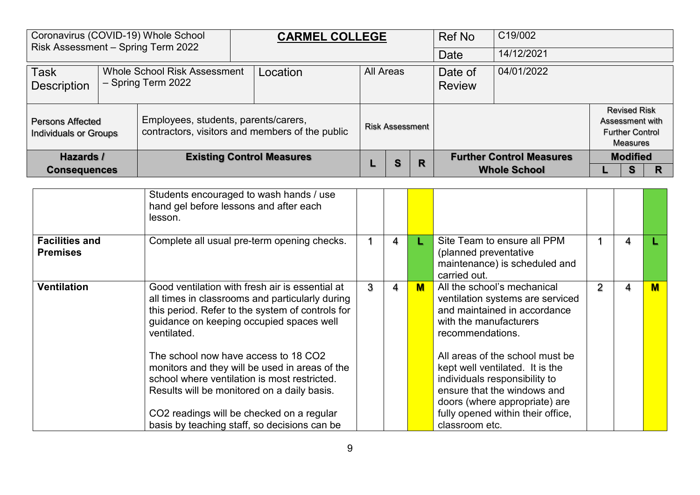| Coronavirus (COVID-19) Whole School<br>Risk Assessment - Spring Term 2022               |  |                                      | <b>CARMEL COLLEGE</b>                           |                  |                        |   | Ref No                   | C19/002                         |                                                                              |  |
|-----------------------------------------------------------------------------------------|--|--------------------------------------|-------------------------------------------------|------------------|------------------------|---|--------------------------|---------------------------------|------------------------------------------------------------------------------|--|
|                                                                                         |  |                                      |                                                 |                  |                        |   | Date                     | 14/12/2021                      |                                                                              |  |
| <b>Task</b><br><b>Whole School Risk Assessment</b><br>- Spring Term 2022<br>Description |  |                                      | Location                                        | <b>All Areas</b> |                        |   | Date of<br><b>Review</b> | 04/01/2022                      |                                                                              |  |
| <b>Persons Affected</b><br>Individuals or Groups                                        |  | Employees, students, parents/carers, | contractors, visitors and members of the public |                  | <b>Risk Assessment</b> |   |                          |                                 | <b>Revised Risk</b><br>Assessment with<br><b>Further Control</b><br>Measures |  |
| Hazards /                                                                               |  |                                      | <b>Existing Control Measures</b>                |                  | S                      | R |                          | <b>Further Control Measures</b> | <b>Modified</b>                                                              |  |
| <b>Consequences</b>                                                                     |  |                                      |                                                 |                  |                        |   |                          | <b>Whole School</b>             | s                                                                            |  |

|                                          | Students encouraged to wash hands / use<br>hand gel before lessons and after each<br>lesson.                                                                                                                                       |   |   |     |                                                                                                                                                                                                          |                |   |                         |
|------------------------------------------|------------------------------------------------------------------------------------------------------------------------------------------------------------------------------------------------------------------------------------|---|---|-----|----------------------------------------------------------------------------------------------------------------------------------------------------------------------------------------------------------|----------------|---|-------------------------|
| <b>Facilities and</b><br><b>Premises</b> | Complete all usual pre-term opening checks.                                                                                                                                                                                        |   | 4 |     | Site Team to ensure all PPM<br>(planned preventative<br>maintenance) is scheduled and<br>carried out.                                                                                                    |                | 4 |                         |
| <b>Ventilation</b>                       | Good ventilation with fresh air is essential at<br>all times in classrooms and particularly during<br>this period. Refer to the system of controls for<br>guidance on keeping occupied spaces well<br>ventilated.                  | 3 | 4 | $M$ | All the school's mechanical<br>ventilation systems are serviced<br>and maintained in accordance<br>with the manufacturers<br>recommendations.                                                            | $\overline{2}$ | 4 | $\overline{\mathsf{M}}$ |
|                                          | The school now have access to 18 CO2<br>monitors and they will be used in areas of the<br>school where ventilation is most restricted.<br>Results will be monitored on a daily basis.<br>CO2 readings will be checked on a regular |   |   |     | All areas of the school must be<br>kept well ventilated. It is the<br>individuals responsibility to<br>ensure that the windows and<br>doors (where appropriate) are<br>fully opened within their office, |                |   |                         |
|                                          | basis by teaching staff, so decisions can be                                                                                                                                                                                       |   |   |     | classroom etc.                                                                                                                                                                                           |                |   |                         |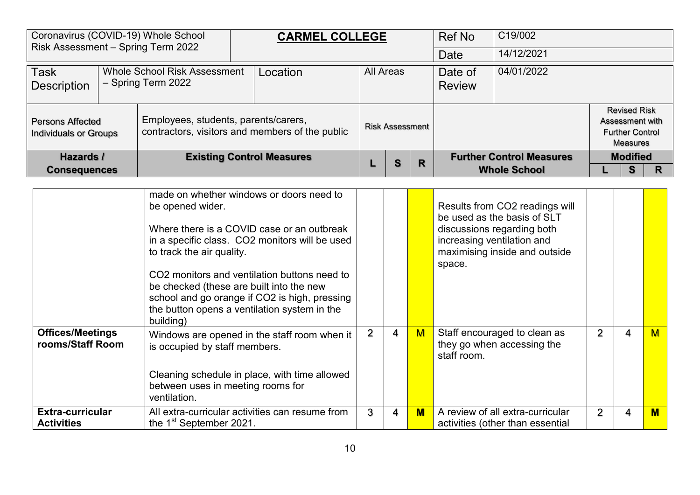| Risk Assessment - Spring Term 2022                                                             |                                                                                                 | Coronavirus (COVID-19) Whole School | <b>CARMEL COLLEGE</b>                           |                  |                        |                          | Ref No      | C19/002                                                |                                                                              |  |
|------------------------------------------------------------------------------------------------|-------------------------------------------------------------------------------------------------|-------------------------------------|-------------------------------------------------|------------------|------------------------|--------------------------|-------------|--------------------------------------------------------|------------------------------------------------------------------------------|--|
|                                                                                                |                                                                                                 |                                     |                                                 |                  |                        |                          | <b>Date</b> | 14/12/2021                                             |                                                                              |  |
| <b>Whole School Risk Assessment</b><br><b>Task</b><br>- Spring Term 2022<br><b>Description</b> |                                                                                                 |                                     | Location                                        | <b>All Areas</b> |                        | Date of<br><b>Review</b> | 04/01/2022  |                                                        |                                                                              |  |
|                                                                                                | Employees, students, parents/carers,<br><b>Persons Affected</b><br><b>Individuals or Groups</b> |                                     | contractors, visitors and members of the public |                  | <b>Risk Assessment</b> |                          |             |                                                        | <b>Revised Risk</b><br>Assessment with<br><b>Further Control</b><br>Measures |  |
|                                                                                                | Hazards /<br><b>Consequences</b>                                                                |                                     | <b>Existing Control Measures</b>                |                  | S                      | R                        |             | <b>Further Control Measures</b><br><b>Whole School</b> | <b>Modified</b><br>s                                                         |  |

|                                              | made on whether windows or doors need to<br>be opened wider.<br>Where there is a COVID case or an outbreak<br>in a specific class. CO2 monitors will be used<br>to track the air quality.<br>CO <sub>2</sub> monitors and ventilation buttons need to<br>be checked (these are built into the new<br>school and go orange if CO2 is high, pressing<br>the button opens a ventilation system in the<br>building) |   |                |     | Results from CO2 readings will<br>be used as the basis of SLT<br>discussions regarding both<br>increasing ventilation and<br>maximising inside and outside<br>space. |                |   |                         |
|----------------------------------------------|-----------------------------------------------------------------------------------------------------------------------------------------------------------------------------------------------------------------------------------------------------------------------------------------------------------------------------------------------------------------------------------------------------------------|---|----------------|-----|----------------------------------------------------------------------------------------------------------------------------------------------------------------------|----------------|---|-------------------------|
| <b>Offices/Meetings</b><br>rooms/Staff Room  | Windows are opened in the staff room when it<br>is occupied by staff members.<br>Cleaning schedule in place, with time allowed<br>between uses in meeting rooms for<br>ventilation.                                                                                                                                                                                                                             | 2 | $\overline{4}$ | M   | Staff encouraged to clean as<br>they go when accessing the<br>staff room.                                                                                            | $\overline{2}$ | 4 | М                       |
| <b>Extra-curricular</b><br><b>Activities</b> | All extra-curricular activities can resume from<br>the 1 <sup>st</sup> September 2021.                                                                                                                                                                                                                                                                                                                          | 3 | 4              | $M$ | A review of all extra-curricular<br>activities (other than essential                                                                                                 | 2              |   | $\overline{\mathsf{M}}$ |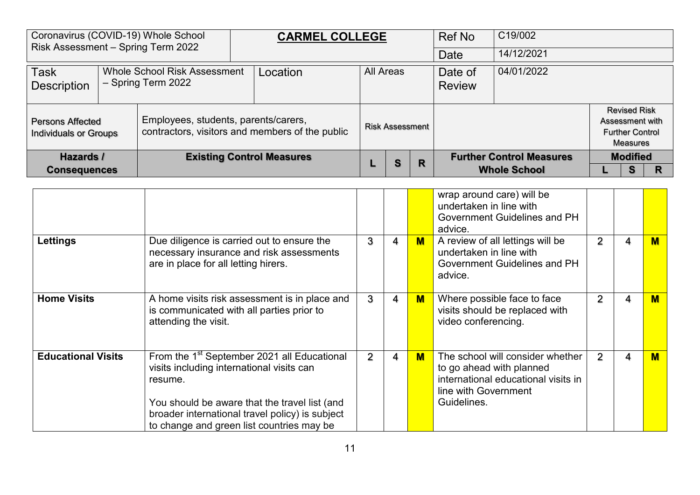| Risk Assessment - Spring Term 2022 |                                                           | Coronavirus (COVID-19) Whole School | <b>CARMEL COLLEGE</b>                                                                   |                  |                        |                          | Ref No     | C19/002                         |                                                                              |  |
|------------------------------------|-----------------------------------------------------------|-------------------------------------|-----------------------------------------------------------------------------------------|------------------|------------------------|--------------------------|------------|---------------------------------|------------------------------------------------------------------------------|--|
|                                    |                                                           |                                     |                                                                                         |                  |                        |                          | Date       | 14/12/2021                      |                                                                              |  |
| <b>Task</b><br><b>Description</b>  | <b>Whole School Risk Assessment</b><br>- Spring Term 2022 |                                     | Location                                                                                | <b>All Areas</b> |                        | Date of<br><b>Review</b> | 04/01/2022 |                                 |                                                                              |  |
|                                    | <b>Persons Affected</b><br><b>Individuals or Groups</b>   |                                     | Employees, students, parents/carers,<br>contractors, visitors and members of the public |                  | <b>Risk Assessment</b> |                          |            |                                 | <b>Revised Risk</b><br>Assessment with<br><b>Further Control</b><br>Measures |  |
|                                    | Hazards /                                                 |                                     | <b>Existing Control Measures</b>                                                        |                  | S                      | R                        |            | <b>Further Control Measures</b> | <b>Modified</b>                                                              |  |
| <b>Consequences</b>                |                                                           |                                     |                                                                                         |                  |                        |                          |            | <b>Whole School</b>             | s                                                                            |  |

|                           |                                                                                                                                                                                                                                                                  |                |   |     | wrap around care) will be<br>undertaken in line with<br>Government Guidelines and PH<br>advice.                                            |                |   |     |
|---------------------------|------------------------------------------------------------------------------------------------------------------------------------------------------------------------------------------------------------------------------------------------------------------|----------------|---|-----|--------------------------------------------------------------------------------------------------------------------------------------------|----------------|---|-----|
| Lettings                  | Due diligence is carried out to ensure the<br>necessary insurance and risk assessments<br>are in place for all letting hirers.                                                                                                                                   | 3              | 4 | M   | A review of all lettings will be<br>undertaken in line with<br>Government Guidelines and PH<br>advice.                                     | 2              | 4 | M   |
| <b>Home Visits</b>        | A home visits risk assessment is in place and<br>is communicated with all parties prior to<br>attending the visit.                                                                                                                                               | 3              | 4 | $M$ | Where possible face to face<br>visits should be replaced with<br>video conferencing.                                                       | $\overline{2}$ | 4 | $M$ |
| <b>Educational Visits</b> | From the 1 <sup>st</sup> September 2021 all Educational<br>visits including international visits can<br>resume.<br>You should be aware that the travel list (and<br>broader international travel policy) is subject<br>to change and green list countries may be | $\overline{2}$ | 4 | $M$ | The school will consider whether<br>to go ahead with planned<br>international educational visits in<br>line with Government<br>Guidelines. | 2              | 4 | M   |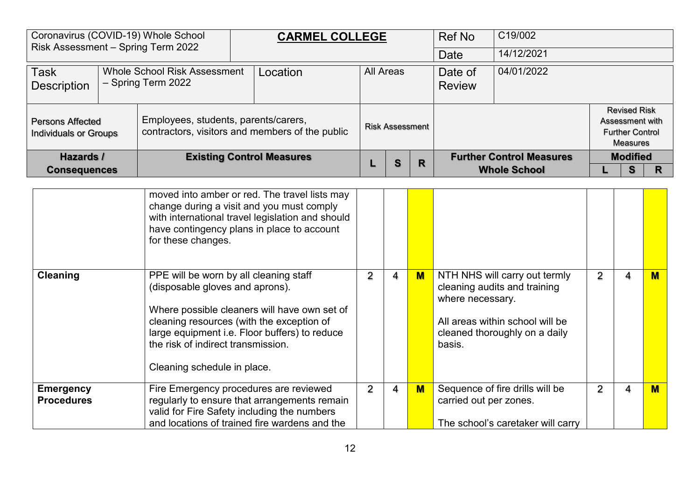| Coronavirus (COVID-19) Whole School<br>Risk Assessment - Spring Term 2022     |  |                                      | <b>CARMEL COLLEGE</b>                           |  |                        |   | Ref No                   | C19/002                         |                                                                              |  |
|-------------------------------------------------------------------------------|--|--------------------------------------|-------------------------------------------------|--|------------------------|---|--------------------------|---------------------------------|------------------------------------------------------------------------------|--|
|                                                                               |  |                                      |                                                 |  |                        |   | Date                     | 14/12/2021                      |                                                                              |  |
| $ $ Task<br>Whole School Risk Assessment<br>- Spring Term 2022<br>Description |  |                                      | Location                                        |  | <b>All Areas</b>       |   | Date of<br><b>Review</b> | 04/01/2022                      |                                                                              |  |
| <b>Persons Affected</b><br>Individuals or Groups                              |  | Employees, students, parents/carers, | contractors, visitors and members of the public |  | <b>Risk Assessment</b> |   |                          |                                 | <b>Revised Risk</b><br>Assessment with<br><b>Further Control</b><br>Measures |  |
| Hazards /                                                                     |  |                                      | <b>Existing Control Measures</b>                |  | S                      | R |                          | <b>Further Control Measures</b> | <b>Modified</b>                                                              |  |
| <b>Consequences</b>                                                           |  |                                      |                                                 |  |                        |   |                          | <b>Whole School</b>             | s                                                                            |  |

|                                       | moved into amber or red. The travel lists may<br>change during a visit and you must comply<br>with international travel legislation and should<br>have contingency plans in place to account<br>for these changes.                                                                           |                |   |     |                                                                                                                                                                 |                |   |   |
|---------------------------------------|----------------------------------------------------------------------------------------------------------------------------------------------------------------------------------------------------------------------------------------------------------------------------------------------|----------------|---|-----|-----------------------------------------------------------------------------------------------------------------------------------------------------------------|----------------|---|---|
| <b>Cleaning</b>                       | PPE will be worn by all cleaning staff<br>(disposable gloves and aprons).<br>Where possible cleaners will have own set of<br>cleaning resources (with the exception of<br>large equipment i.e. Floor buffers) to reduce<br>the risk of indirect transmission.<br>Cleaning schedule in place. | 2              | 4 | $M$ | NTH NHS will carry out termly<br>cleaning audits and training<br>where necessary.<br>All areas within school will be<br>cleaned thoroughly on a daily<br>basis. | $\overline{2}$ | 4 | М |
| <b>Emergency</b><br><b>Procedures</b> | Fire Emergency procedures are reviewed<br>regularly to ensure that arrangements remain<br>valid for Fire Safety including the numbers<br>and locations of trained fire wardens and the                                                                                                       | $\overline{2}$ | 4 | $M$ | Sequence of fire drills will be<br>carried out per zones.<br>The school's caretaker will carry                                                                  | 2              | 4 | M |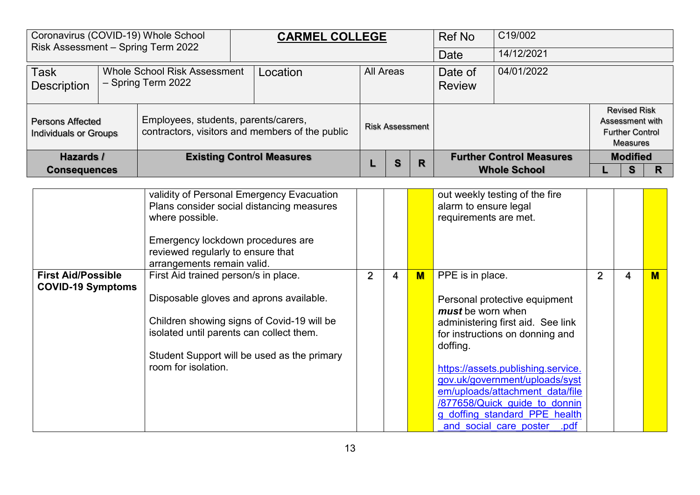| Coronavirus (COVID-19) Whole School<br>Risk Assessment - Spring Term 2022        |  |                                      | <b>CARMEL COLLEGE</b>                           |                  |                        |   | Ref No                   | C19/002                         |                                                                              |  |
|----------------------------------------------------------------------------------|--|--------------------------------------|-------------------------------------------------|------------------|------------------------|---|--------------------------|---------------------------------|------------------------------------------------------------------------------|--|
|                                                                                  |  |                                      |                                                 |                  |                        |   | Date                     | 14/12/2021                      |                                                                              |  |
| Task<br><b>Whole School Risk Assessment</b><br>- Spring Term 2022<br>Description |  |                                      | Location                                        | <b>All Areas</b> |                        |   | Date of<br><b>Review</b> | 04/01/2022                      |                                                                              |  |
| <b>Persons Affected</b><br>Individuals or Groups                                 |  | Employees, students, parents/carers, | contractors, visitors and members of the public |                  | <b>Risk Assessment</b> |   |                          |                                 | <b>Revised Risk</b><br>Assessment with<br><b>Further Control</b><br>Measures |  |
| Hazards /                                                                        |  |                                      | <b>Existing Control Measures</b>                |                  | S                      | R |                          | <b>Further Control Measures</b> | <b>Modified</b>                                                              |  |
| <b>Consequences</b>                                                              |  |                                      |                                                 |                  |                        |   |                          | <b>Whole School</b>             | s                                                                            |  |

|                                                       | validity of Personal Emergency Evacuation<br>Plans consider social distancing measures<br>where possible.<br>Emergency lockdown procedures are<br>reviewed regularly to ensure that<br>arrangements remain valid.                               |   |   |     | out weekly testing of the fire<br>alarm to ensure legal<br>requirements are met.                                                                                                                                                                                                                                                                                       |                |   |          |
|-------------------------------------------------------|-------------------------------------------------------------------------------------------------------------------------------------------------------------------------------------------------------------------------------------------------|---|---|-----|------------------------------------------------------------------------------------------------------------------------------------------------------------------------------------------------------------------------------------------------------------------------------------------------------------------------------------------------------------------------|----------------|---|----------|
| <b>First Aid/Possible</b><br><b>COVID-19 Symptoms</b> | First Aid trained person/s in place.<br>Disposable gloves and aprons available.<br>Children showing signs of Covid-19 will be<br>isolated until parents can collect them.<br>Student Support will be used as the primary<br>room for isolation. | 2 | 4 | $M$ | PPE is in place.<br>Personal protective equipment<br>must be worn when<br>administering first aid. See link<br>for instructions on donning and<br>doffing.<br>https://assets.publishing.service.<br>gov.uk/government/uploads/syst<br>em/uploads/attachment data/file<br>/877658/Quick guide to donnin<br>g doffing standard PPE health<br>and social care poster .pdf | $\overline{2}$ | 4 | <b>M</b> |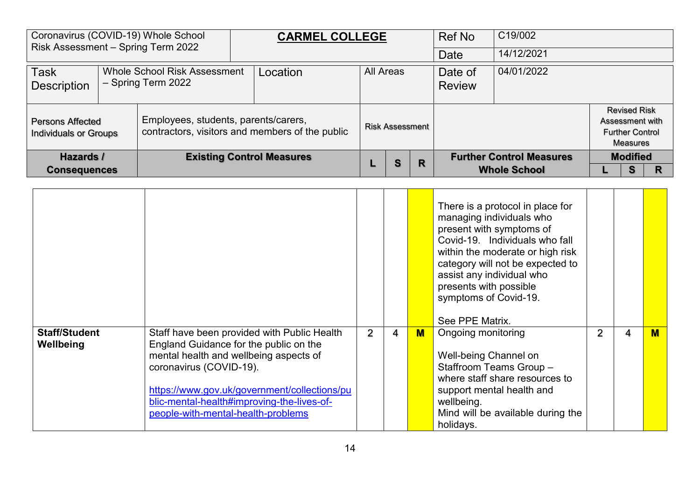| Risk Assessment - Spring Term 2022                                                             |  | Coronavirus (COVID-19) Whole School  | <b>CARMEL COLLEGE</b>                           |           |                        |   | Ref No                   | C19/002                         |                                                                              |   |
|------------------------------------------------------------------------------------------------|--|--------------------------------------|-------------------------------------------------|-----------|------------------------|---|--------------------------|---------------------------------|------------------------------------------------------------------------------|---|
|                                                                                                |  |                                      |                                                 |           |                        |   | Date                     | 14/12/2021                      |                                                                              |   |
| <b>Task</b><br><b>Whole School Risk Assessment</b><br>- Spring Term 2022<br><b>Description</b> |  |                                      | Location                                        | All Areas |                        |   | Date of<br><b>Review</b> | 04/01/2022                      |                                                                              |   |
| <b>Persons Affected</b><br><b>Individuals or Groups</b>                                        |  | Employees, students, parents/carers, | contractors, visitors and members of the public |           | <b>Risk Assessment</b> |   |                          |                                 | <b>Revised Risk</b><br>Assessment with<br><b>Further Control</b><br>Measures |   |
| Hazards /                                                                                      |  |                                      | <b>Existing Control Measures</b>                |           | S                      | R |                          | <b>Further Control Measures</b> | <b>Modified</b>                                                              |   |
| <b>Consequences</b>                                                                            |  |                                      |                                                 |           |                        |   |                          | <b>Whole School</b>             | S                                                                            | R |

|                                   |                                                                                                                                                                                                                                                                                                |   |   |                         | There is a protocol in place for<br>managing individuals who<br>present with symptoms of<br>Covid-19. Individuals who fall<br>within the moderate or high risk<br>category will not be expected to<br>assist any individual who<br>presents with possible<br>symptoms of Covid-19.<br>See PPE Matrix. |                |   |   |
|-----------------------------------|------------------------------------------------------------------------------------------------------------------------------------------------------------------------------------------------------------------------------------------------------------------------------------------------|---|---|-------------------------|-------------------------------------------------------------------------------------------------------------------------------------------------------------------------------------------------------------------------------------------------------------------------------------------------------|----------------|---|---|
| <b>Staff/Student</b><br>Wellbeing | Staff have been provided with Public Health<br>England Guidance for the public on the<br>mental health and wellbeing aspects of<br>coronavirus (COVID-19).<br>https://www.gov.uk/government/collections/pu<br>blic-mental-health#improving-the-lives-of-<br>people-with-mental-health-problems | 2 | 4 | $\overline{\mathsf{M}}$ | Ongoing monitoring<br>Well-being Channel on<br>Staffroom Teams Group -<br>where staff share resources to<br>support mental health and<br>wellbeing.<br>Mind will be available during the<br>holidays.                                                                                                 | $\overline{2}$ | 4 | M |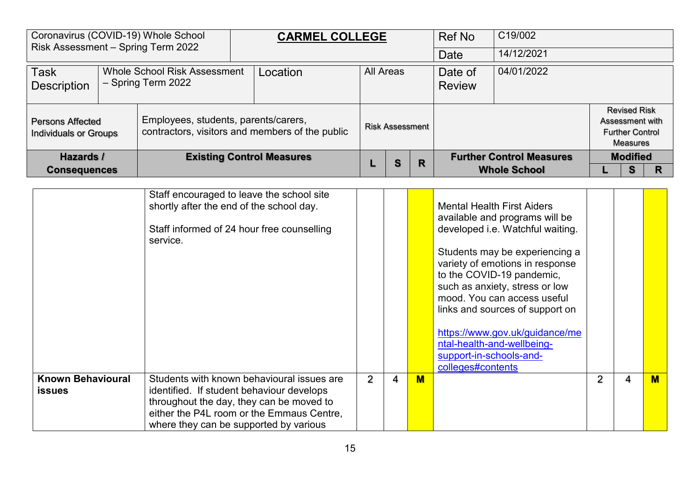|                                                                                         | Coronavirus (COVID-19) Whole School<br>Risk Assessment - Spring Term 2022                       |  | <b>CARMEL COLLEGE</b>                           |                  |                        | Ref No | C19/002                  |                                 |  |                                                                                     |  |
|-----------------------------------------------------------------------------------------|-------------------------------------------------------------------------------------------------|--|-------------------------------------------------|------------------|------------------------|--------|--------------------------|---------------------------------|--|-------------------------------------------------------------------------------------|--|
|                                                                                         |                                                                                                 |  |                                                 |                  |                        |        | <b>Date</b>              | 14/12/2021                      |  |                                                                                     |  |
| <b>Task</b><br>Whole School Risk Assessment<br>- Spring Term 2022<br><b>Description</b> |                                                                                                 |  | Location                                        | <b>All Areas</b> |                        |        | Date of<br><b>Review</b> | 04/01/2022                      |  |                                                                                     |  |
|                                                                                         | Employees, students, parents/carers,<br><b>Persons Affected</b><br><b>Individuals or Groups</b> |  | contractors, visitors and members of the public |                  | <b>Risk Assessment</b> |        |                          |                                 |  | <b>Revised Risk</b><br>Assessment with<br><b>Further Control</b><br><b>Measures</b> |  |
| Hazards /                                                                               |                                                                                                 |  | <b>Existing Control Measures</b>                |                  | S                      | R      |                          | <b>Further Control Measures</b> |  | <b>Modified</b>                                                                     |  |
| <b>Consequences</b>                                                                     |                                                                                                 |  |                                                 |                  |                        |        |                          | <b>Whole School</b>             |  | s                                                                                   |  |

|                                           | Staff encouraged to leave the school site<br>shortly after the end of the school day.<br>Staff informed of 24 hour free counselling<br>service.                                                                            |   |   |   | <b>Mental Health First Aiders</b><br>available and programs will be<br>developed i.e. Watchful waiting.<br>Students may be experiencing a<br>variety of emotions in response<br>to the COVID-19 pandemic,<br>such as anxiety, stress or low<br>mood. You can access useful<br>links and sources of support on<br>https://www.gov.uk/guidance/me<br>ntal-health-and-wellbeing-<br>support-in-schools-and-<br>colleges#contents |                |   |   |
|-------------------------------------------|----------------------------------------------------------------------------------------------------------------------------------------------------------------------------------------------------------------------------|---|---|---|-------------------------------------------------------------------------------------------------------------------------------------------------------------------------------------------------------------------------------------------------------------------------------------------------------------------------------------------------------------------------------------------------------------------------------|----------------|---|---|
| <b>Known Behavioural</b><br><b>issues</b> | Students with known behavioural issues are<br>identified. If student behaviour develops<br>throughout the day, they can be moved to<br>either the P4L room or the Emmaus Centre,<br>where they can be supported by various | 2 | 4 | M |                                                                                                                                                                                                                                                                                                                                                                                                                               | $\overline{2}$ | 4 | м |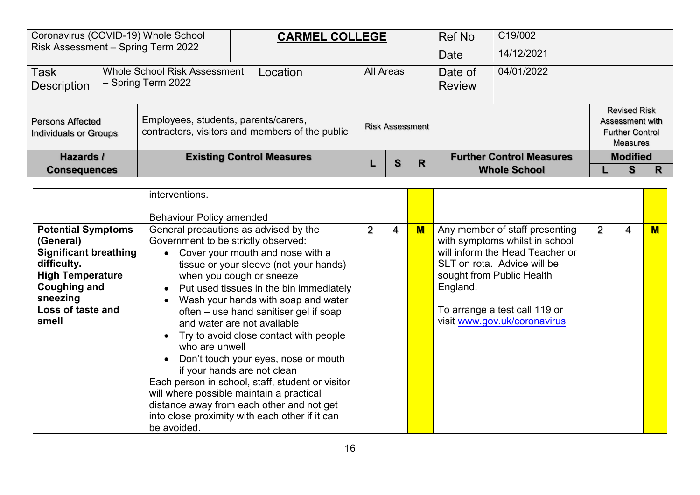| Risk Assessment - Spring Term 2022                      |                                                           | Coronavirus (COVID-19) Whole School  | <b>CARMEL COLLEGE</b>                           |           |                        |   | <b>Ref No</b>            | C19/002                         |                                                                  |                 |  |
|---------------------------------------------------------|-----------------------------------------------------------|--------------------------------------|-------------------------------------------------|-----------|------------------------|---|--------------------------|---------------------------------|------------------------------------------------------------------|-----------------|--|
|                                                         |                                                           |                                      |                                                 |           |                        |   | Date                     | 14/12/2021                      |                                                                  |                 |  |
| <b>Task</b><br><b>Description</b>                       | <b>Whole School Risk Assessment</b><br>- Spring Term 2022 |                                      | Location                                        | All Areas |                        |   | Date of<br><b>Review</b> | 04/01/2022                      |                                                                  |                 |  |
| <b>Persons Affected</b><br><b>Individuals or Groups</b> |                                                           | Employees, students, parents/carers, | contractors, visitors and members of the public |           | <b>Risk Assessment</b> |   |                          |                                 | <b>Revised Risk</b><br>Assessment with<br><b>Further Control</b> | Measures        |  |
| Hazards /                                               |                                                           |                                      | <b>Existing Control Measures</b>                |           | S                      | R |                          | <b>Further Control Measures</b> |                                                                  | <b>Modified</b> |  |
| <b>Consequences</b>                                     |                                                           |                                      |                                                 |           |                        |   |                          | <b>Whole School</b>             |                                                                  |                 |  |

|                                                                                                                                                                                   | interventions.<br><b>Behaviour Policy amended</b>                                                                                                                                                                                                                                                                                                                                                                                                                                                                                                                                                                                                                                                    |                |   |     |                                                                                                                                                                                                                                              |                |   |     |
|-----------------------------------------------------------------------------------------------------------------------------------------------------------------------------------|------------------------------------------------------------------------------------------------------------------------------------------------------------------------------------------------------------------------------------------------------------------------------------------------------------------------------------------------------------------------------------------------------------------------------------------------------------------------------------------------------------------------------------------------------------------------------------------------------------------------------------------------------------------------------------------------------|----------------|---|-----|----------------------------------------------------------------------------------------------------------------------------------------------------------------------------------------------------------------------------------------------|----------------|---|-----|
| <b>Potential Symptoms</b><br>(General)<br><b>Significant breathing</b><br>difficulty.<br><b>High Temperature</b><br><b>Coughing and</b><br>sneezing<br>Loss of taste and<br>smell | General precautions as advised by the<br>Government to be strictly observed:<br>Cover your mouth and nose with a<br>tissue or your sleeve (not your hands)<br>when you cough or sneeze<br>• Put used tissues in the bin immediately<br>Wash your hands with soap and water<br>often – use hand sanitiser gel if soap<br>and water are not available<br>Try to avoid close contact with people<br>who are unwell<br>Don't touch your eyes, nose or mouth<br>if your hands are not clean<br>Each person in school, staff, student or visitor<br>will where possible maintain a practical<br>distance away from each other and not get<br>into close proximity with each other if it can<br>be avoided. | $\overline{2}$ | 4 | $M$ | Any member of staff presenting<br>with symptoms whilst in school<br>will inform the Head Teacher or<br>SLT on rota. Advice will be<br>sought from Public Health<br>England.<br>To arrange a test call 119 or<br>visit www.gov.uk/coronavirus | $\overline{2}$ | 4 | $M$ |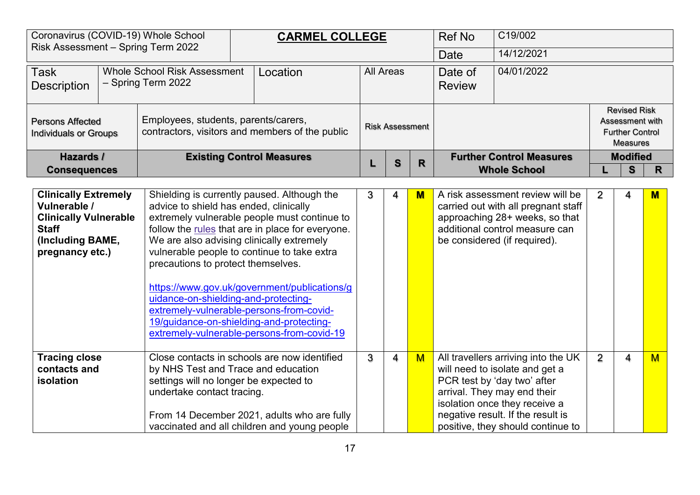| Coronavirus (COVID-19) Whole School                                                                                                |                                                                                                                                     |                                                                                                                                                                                                                                                           |  | <b>CARMEL COLLEGE</b>                                                                                                                                                                                                                                                                        |                             |                        |                                 | <b>Ref No</b>            | C19/002                                                                                                                                                                                                                                        |                 |                                                                                     |              |
|------------------------------------------------------------------------------------------------------------------------------------|-------------------------------------------------------------------------------------------------------------------------------------|-----------------------------------------------------------------------------------------------------------------------------------------------------------------------------------------------------------------------------------------------------------|--|----------------------------------------------------------------------------------------------------------------------------------------------------------------------------------------------------------------------------------------------------------------------------------------------|-----------------------------|------------------------|---------------------------------|--------------------------|------------------------------------------------------------------------------------------------------------------------------------------------------------------------------------------------------------------------------------------------|-----------------|-------------------------------------------------------------------------------------|--------------|
| Risk Assessment - Spring Term 2022                                                                                                 |                                                                                                                                     |                                                                                                                                                                                                                                                           |  |                                                                                                                                                                                                                                                                                              |                             |                        |                                 | Date                     | 14/12/2021                                                                                                                                                                                                                                     |                 |                                                                                     |              |
| <b>Task</b><br><b>Description</b>                                                                                                  |                                                                                                                                     | <b>Whole School Risk Assessment</b><br>- Spring Term 2022                                                                                                                                                                                                 |  | Location                                                                                                                                                                                                                                                                                     |                             | <b>All Areas</b>       |                                 | Date of<br><b>Review</b> | 04/01/2022                                                                                                                                                                                                                                     |                 |                                                                                     |              |
| <b>Persons Affected</b>                                                                                                            | Employees, students, parents/carers,<br><b>Individuals or Groups</b><br>Hazards /                                                   |                                                                                                                                                                                                                                                           |  | contractors, visitors and members of the public                                                                                                                                                                                                                                              |                             | <b>Risk Assessment</b> |                                 |                          |                                                                                                                                                                                                                                                |                 | <b>Revised Risk</b><br>Assessment with<br><b>Further Control</b><br><b>Measures</b> |              |
|                                                                                                                                    | <b>Consequences</b>                                                                                                                 |                                                                                                                                                                                                                                                           |  | <b>Existing Control Measures</b>                                                                                                                                                                                                                                                             | $\mathbf{s}$<br>$\mathbf R$ |                        | <b>Further Control Measures</b> |                          |                                                                                                                                                                                                                                                | <b>Modified</b> |                                                                                     |              |
|                                                                                                                                    |                                                                                                                                     |                                                                                                                                                                                                                                                           |  |                                                                                                                                                                                                                                                                                              |                             |                        |                                 |                          | <b>Whole School</b>                                                                                                                                                                                                                            |                 | S                                                                                   | $\mathsf{R}$ |
| <b>Clinically Extremely</b><br>Vulnerable /<br><b>Clinically Vulnerable</b><br><b>Staff</b><br>(Including BAME,<br>pregnancy etc.) |                                                                                                                                     | advice to shield has ended, clinically<br>We are also advising clinically extremely<br>precautions to protect themselves.<br>uidance-on-shielding-and-protecting-<br>extremely-vulnerable-persons-from-covid-<br>19/guidance-on-shielding-and-protecting- |  | Shielding is currently paused. Although the<br>extremely vulnerable people must continue to<br>follow the rules that are in place for everyone.<br>vulnerable people to continue to take extra<br>https://www.gov.uk/government/publications/g<br>extremely-vulnerable-persons-from-covid-19 | 3                           | 4                      | $\mathbf M$                     |                          | A risk assessment review will be<br>carried out with all pregnant staff<br>approaching 28+ weeks, so that<br>additional control measure can<br>be considered (if required).                                                                    | 2               | 4                                                                                   | M            |
| contacts and<br>isolation                                                                                                          | <b>Tracing close</b><br>by NHS Test and Trace and education<br>settings will no longer be expected to<br>undertake contact tracing. |                                                                                                                                                                                                                                                           |  | Close contacts in schools are now identified<br>From 14 December 2021, adults who are fully<br>vaccinated and all children and young people                                                                                                                                                  | 3                           | $\overline{4}$         | M                               |                          | All travellers arriving into the UK<br>will need to isolate and get a<br>PCR test by 'day two' after<br>arrival. They may end their<br>isolation once they receive a<br>negative result. If the result is<br>positive, they should continue to | 2               | 4                                                                                   | <b>M</b>     |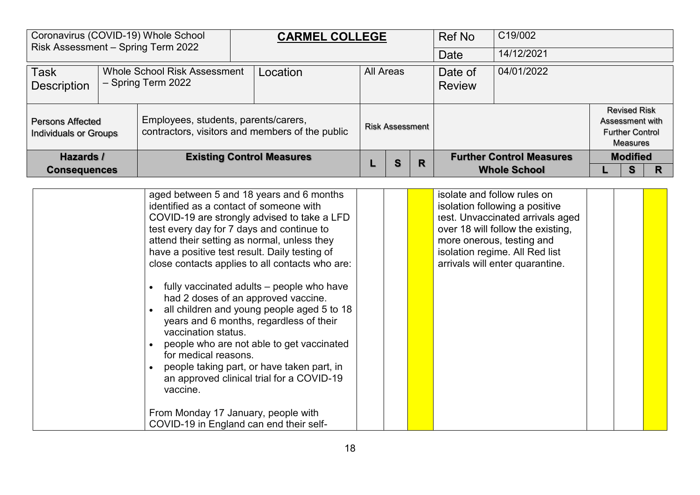|                                                                                                | Coronavirus (COVID-19) Whole School<br>Risk Assessment - Spring Term 2022                       |  | <b>CARMEL COLLEGE</b>                           |  |                        | Ref No | C19/002                  |                                 |  |                                                                                     |  |
|------------------------------------------------------------------------------------------------|-------------------------------------------------------------------------------------------------|--|-------------------------------------------------|--|------------------------|--------|--------------------------|---------------------------------|--|-------------------------------------------------------------------------------------|--|
|                                                                                                |                                                                                                 |  |                                                 |  |                        |        | Date                     | 14/12/2021                      |  |                                                                                     |  |
| <b>Task</b><br><b>Whole School Risk Assessment</b><br>- Spring Term 2022<br><b>Description</b> |                                                                                                 |  | Location                                        |  | All Areas              |        | Date of<br><b>Review</b> | 04/01/2022                      |  |                                                                                     |  |
|                                                                                                | Employees, students, parents/carers,<br><b>Persons Affected</b><br><b>Individuals or Groups</b> |  | contractors, visitors and members of the public |  | <b>Risk Assessment</b> |        |                          |                                 |  | <b>Revised Risk</b><br>Assessment with<br><b>Further Control</b><br><b>Measures</b> |  |
| Hazards /                                                                                      |                                                                                                 |  | <b>Existing Control Measures</b>                |  | S                      | R      |                          | <b>Further Control Measures</b> |  | <b>Modified</b>                                                                     |  |
| <b>Consequences</b>                                                                            |                                                                                                 |  |                                                 |  |                        |        |                          | <b>Whole School</b>             |  | s                                                                                   |  |

| aged between 5 and 18 years and 6 months<br>identified as a contact of someone with<br>COVID-19 are strongly advised to take a LFD<br>test every day for 7 days and continue to<br>attend their setting as normal, unless they<br>have a positive test result. Daily testing of<br>close contacts applies to all contacts who are:                                                                                  |  | isolate and follow rules on<br>isolation following a positive<br>test. Unvaccinated arrivals aged<br>over 18 will follow the existing,<br>more onerous, testing and<br>isolation regime. All Red list<br>arrivals will enter quarantine. |  |  |
|---------------------------------------------------------------------------------------------------------------------------------------------------------------------------------------------------------------------------------------------------------------------------------------------------------------------------------------------------------------------------------------------------------------------|--|------------------------------------------------------------------------------------------------------------------------------------------------------------------------------------------------------------------------------------------|--|--|
| fully vaccinated adults – people who have<br>had 2 doses of an approved vaccine.<br>all children and young people aged 5 to 18<br>years and 6 months, regardless of their<br>vaccination status.<br>people who are not able to get vaccinated<br>for medical reasons.<br>people taking part, or have taken part, in<br>an approved clinical trial for a COVID-19<br>vaccine.<br>From Monday 17 January, people with |  |                                                                                                                                                                                                                                          |  |  |
| COVID-19 in England can end their self-                                                                                                                                                                                                                                                                                                                                                                             |  |                                                                                                                                                                                                                                          |  |  |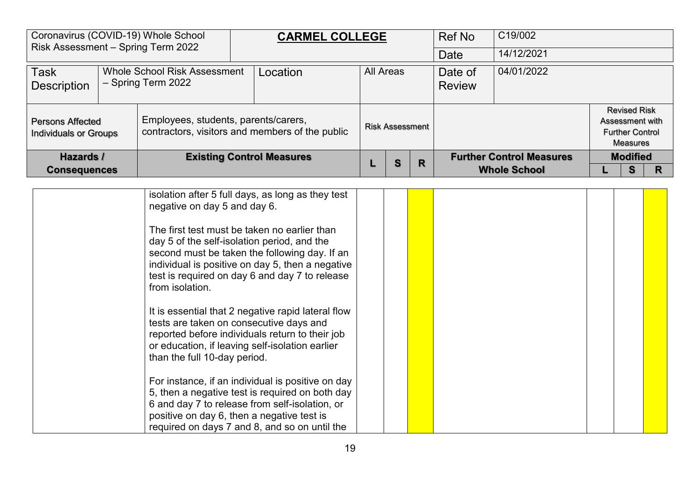|                                                                                                | Coronavirus (COVID-19) Whole School<br>Risk Assessment - Spring Term 2022                       |  | <b>CARMEL COLLEGE</b>                           |  |                        | <b>Ref No</b> | C19/002                  |                                 |  |                                                                                     |  |
|------------------------------------------------------------------------------------------------|-------------------------------------------------------------------------------------------------|--|-------------------------------------------------|--|------------------------|---------------|--------------------------|---------------------------------|--|-------------------------------------------------------------------------------------|--|
|                                                                                                |                                                                                                 |  |                                                 |  |                        |               | Date                     | 14/12/2021                      |  |                                                                                     |  |
| <b>Task</b><br><b>Whole School Risk Assessment</b><br>- Spring Term 2022<br><b>Description</b> |                                                                                                 |  | Location                                        |  | <b>All Areas</b>       |               | Date of<br><b>Review</b> | 04/01/2022                      |  |                                                                                     |  |
|                                                                                                | Employees, students, parents/carers,<br><b>Persons Affected</b><br><b>Individuals or Groups</b> |  | contractors, visitors and members of the public |  | <b>Risk Assessment</b> |               |                          |                                 |  | <b>Revised Risk</b><br>Assessment with<br><b>Further Control</b><br><b>Measures</b> |  |
|                                                                                                | Hazards /<br><b>Consequences</b>                                                                |  | <b>Existing Control Measures</b>                |  | S                      | R             |                          | <b>Further Control Measures</b> |  | <b>Modified</b>                                                                     |  |
|                                                                                                |                                                                                                 |  |                                                 |  |                        |               |                          | <b>Whole School</b>             |  | s                                                                                   |  |

| isolation after 5 full days, as long as they test<br>negative on day 5 and day 6.                                                                                                                                                                                     |  |  |  |  |
|-----------------------------------------------------------------------------------------------------------------------------------------------------------------------------------------------------------------------------------------------------------------------|--|--|--|--|
| The first test must be taken no earlier than<br>day 5 of the self-isolation period, and the<br>second must be taken the following day. If an<br>individual is positive on day 5, then a negative<br>test is required on day 6 and day 7 to release<br>from isolation. |  |  |  |  |
| It is essential that 2 negative rapid lateral flow<br>tests are taken on consecutive days and<br>reported before individuals return to their job<br>or education, if leaving self-isolation earlier<br>than the full 10-day period.                                   |  |  |  |  |
| For instance, if an individual is positive on day<br>5, then a negative test is required on both day<br>6 and day 7 to release from self-isolation, or<br>positive on day 6, then a negative test is<br>required on days 7 and 8, and so on until the                 |  |  |  |  |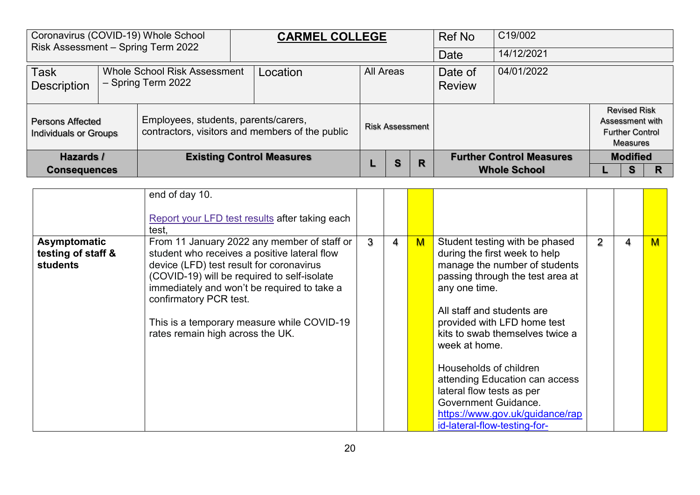| Coronavirus (COVID-19) Whole School<br>Risk Assessment - Spring Term 2022 |  |                                                    | <b>CARMEL COLLEGE</b>                           |                  |                        | <b>Ref No</b> | C19/002                                                |                 |                                                                              |  |
|---------------------------------------------------------------------------|--|----------------------------------------------------|-------------------------------------------------|------------------|------------------------|---------------|--------------------------------------------------------|-----------------|------------------------------------------------------------------------------|--|
|                                                                           |  |                                                    |                                                 |                  |                        |               | Date                                                   | 14/12/2021      |                                                                              |  |
| <b>Task</b><br><b>Description</b>                                         |  | Whole School Risk Assessment<br>- Spring Term 2022 | Location                                        | <b>All Areas</b> |                        |               | Date of<br><b>Review</b>                               | 04/01/2022      |                                                                              |  |
| <b>Persons Affected</b><br><b>Individuals or Groups</b>                   |  | Employees, students, parents/carers,               | contractors, visitors and members of the public |                  | <b>Risk Assessment</b> |               |                                                        |                 | <b>Revised Risk</b><br>Assessment with<br><b>Further Control</b><br>Measures |  |
| Hazards /<br><b>Consequences</b>                                          |  | <b>Existing Control Measures</b>                   |                                                 | S                | R                      |               | <b>Further Control Measures</b><br><b>Whole School</b> | <b>Modified</b> |                                                                              |  |

|                                                       | end of day 10.<br>Report your LFD test results after taking each<br>test,                                                                                                                                                                                                                                                                         |   |   |   |                                                                                                                                                                                                                                                                                                                                                                                                                                                            |                |   |     |
|-------------------------------------------------------|---------------------------------------------------------------------------------------------------------------------------------------------------------------------------------------------------------------------------------------------------------------------------------------------------------------------------------------------------|---|---|---|------------------------------------------------------------------------------------------------------------------------------------------------------------------------------------------------------------------------------------------------------------------------------------------------------------------------------------------------------------------------------------------------------------------------------------------------------------|----------------|---|-----|
| Asymptomatic<br>testing of staff &<br><b>students</b> | From 11 January 2022 any member of staff or<br>student who receives a positive lateral flow<br>device (LFD) test result for coronavirus<br>(COVID-19) will be required to self-isolate<br>immediately and won't be required to take a<br>confirmatory PCR test.<br>This is a temporary measure while COVID-19<br>rates remain high across the UK. | 3 | 4 | M | Student testing with be phased<br>during the first week to help<br>manage the number of students<br>passing through the test area at<br>any one time.<br>All staff and students are<br>provided with LFD home test<br>kits to swab themselves twice a<br>week at home.<br>Households of children<br>attending Education can access<br>lateral flow tests as per<br>Government Guidance.<br>https://www.gov.uk/guidance/rap<br>id-lateral-flow-testing-for- | $\overline{2}$ | 4 | $M$ |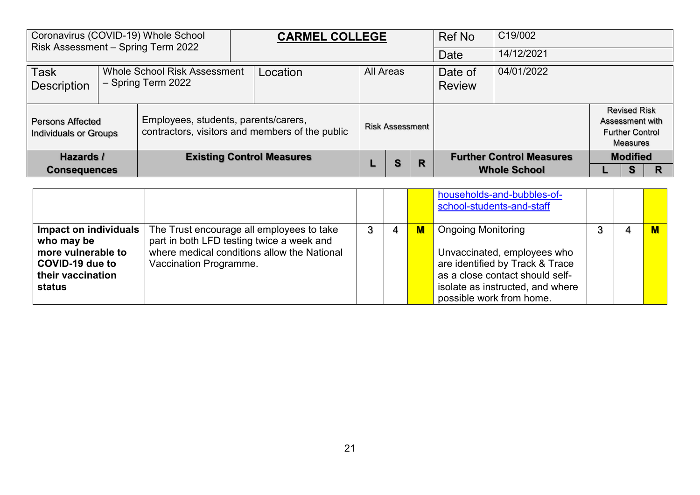| Coronavirus (COVID-19) Whole School<br>Risk Assessment - Spring Term 2022 |  |                                                           | <b>CARMEL COLLEGE</b>                           |  |                        | Ref No    | C19/002 |                                 |  |                                                                                     |  |
|---------------------------------------------------------------------------|--|-----------------------------------------------------------|-------------------------------------------------|--|------------------------|-----------|---------|---------------------------------|--|-------------------------------------------------------------------------------------|--|
|                                                                           |  |                                                           |                                                 |  |                        |           | Date    | 14/12/2021                      |  |                                                                                     |  |
| <b>Task</b><br><b>Description</b>                                         |  | <b>Whole School Risk Assessment</b><br>- Spring Term 2022 | Location                                        |  |                        | All Areas |         | 04/01/2022                      |  |                                                                                     |  |
| <b>Persons Affected</b><br><b>Individuals or Groups</b>                   |  | Employees, students, parents/carers,                      | contractors, visitors and members of the public |  | <b>Risk Assessment</b> |           |         |                                 |  | <b>Revised Risk</b><br>Assessment with<br><b>Further Control</b><br><b>Measures</b> |  |
| Hazards /                                                                 |  |                                                           | <b>Existing Control Measures</b>                |  | S                      | R         |         | <b>Further Control Measures</b> |  | <b>Modified</b>                                                                     |  |
| <b>Consequences</b>                                                       |  |                                                           |                                                 |  |                        |           |         | <b>Whole School</b>             |  | s                                                                                   |  |

|                                                                                                             |                                                                                                                                                                 |   |                | households-and-bubbles-of-<br>school-students-and-staff                                                                                                                                        |  |  |
|-------------------------------------------------------------------------------------------------------------|-----------------------------------------------------------------------------------------------------------------------------------------------------------------|---|----------------|------------------------------------------------------------------------------------------------------------------------------------------------------------------------------------------------|--|--|
| Impact on individuals<br>who may be<br>more vulnerable to<br>COVID-19 due to<br>their vaccination<br>status | The Trust encourage all employees to take<br>part in both LFD testing twice a week and<br>where medical conditions allow the National<br>Vaccination Programme. | 4 | $\blacksquare$ | <b>Ongoing Monitoring</b><br>Unvaccinated, employees who<br>are identified by Track & Trace<br>as a close contact should self-<br>isolate as instructed, and where<br>possible work from home. |  |  |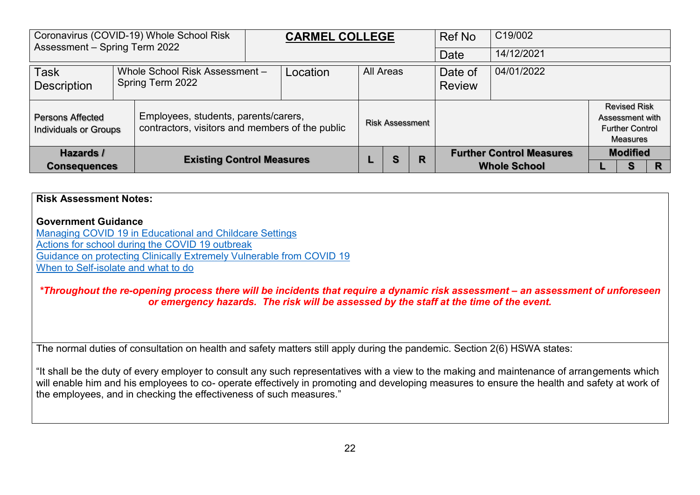| Coronavirus (COVID-19) Whole School Risk<br>Assessment - Spring Term 2022                                                                          |  |                                                                | <b>CARMEL COLLEGE</b> |  |                        | Ref No    | C19/002 |                                                        |                                                                                     |   |  |
|----------------------------------------------------------------------------------------------------------------------------------------------------|--|----------------------------------------------------------------|-----------------------|--|------------------------|-----------|---------|--------------------------------------------------------|-------------------------------------------------------------------------------------|---|--|
|                                                                                                                                                    |  |                                                                |                       |  |                        |           |         | Date                                                   | 14/12/2021                                                                          |   |  |
| <b>Task</b><br><b>Description</b>                                                                                                                  |  | Whole School Risk Assessment -<br>Location<br>Spring Term 2022 |                       |  |                        | All Areas |         | Date of<br><b>Review</b>                               | 04/01/2022                                                                          |   |  |
| Employees, students, parents/carers,<br><b>Persons Affected</b><br>contractors, visitors and members of the public<br><b>Individuals or Groups</b> |  |                                                                |                       |  | <b>Risk Assessment</b> |           |         |                                                        | <b>Revised Risk</b><br>Assessment with<br><b>Further Control</b><br><b>Measures</b> |   |  |
| Hazards /<br><b>Existing Control Measures</b><br><b>Consequences</b>                                                                               |  |                                                                |                       |  | S                      | R         |         | <b>Further Control Measures</b><br><b>Whole School</b> | <b>Modified</b>                                                                     | R |  |

## **Risk Assessment Notes: Government Guidance**  [Managing COVID 19 in Educational and Childcare Settings](https://gbr01.safelinks.protection.outlook.com/?url=https%3A%2F%2Fwww.gov.uk%2Fgovernment%2Fpublications%2Fcoronavirus-covid-19-local-restrictions-in-education-and-childcare-settings%3Futm_medium%3Demail%26utm_campaign%3Dgovuk-notifications%26utm_source%3Df75efe81-efb1-40ab-bae6-f57a074b6f05%26utm_content%3Ddaily&data=04%7C01%7Ctracy.metcalfe%40avec-partnership.com%7C8d8d4d53dc9d4fe2f62a08d9663e0ddd%7Cb1cc86c88fb447ae9d62d7ce37008c63%7C0%7C0%7C637653238962812443%7CUnknown%7CTWFpbGZsb3d8eyJWIjoiMC4wLjAwMDAiLCJQIjoiV2luMzIiLCJBTiI6Ik1haWwiLCJXVCI6Mn0%3D%7C1000&sdata=GrUmotZms4kUStFalwDax6LVyVQjTjjUOpqn8XsUKvQ%3D&reserved=0) [Actions for school during the COVID 19 outbreak](https://gbr01.safelinks.protection.outlook.com/?url=https%3A%2F%2Fwww.gov.uk%2Fgovernment%2Fpublications%2Factions-for-schools-during-the-coronavirus-outbreak%3Futm_medium%3Demail%26utm_campaign%3Dgovuk-notifications%26utm_source%3Dae0d31a3-dbde-4cbf-91b2-2ed48dd33915%26utm_content%3Ddaily&data=04%7C01%7Ctracy.metcalfe%40avec-partnership.com%7C8d8d4d53dc9d4fe2f62a08d9663e0ddd%7Cb1cc86c88fb447ae9d62d7ce37008c63%7C0%7C0%7C637653238962812443%7CUnknown%7CTWFpbGZsb3d8eyJWIjoiMC4wLjAwMDAiLCJQIjoiV2luMzIiLCJBTiI6Ik1haWwiLCJXVCI6Mn0%3D%7C1000&sdata=lvHeTLaCQ6HkbsYppiLpR2dPCmdmWYEQPcipW3VtUJE%3D&reserved=0) [Guidance on protecting Clinically Extremely Vulnerable from COVID 19](https://gbr01.safelinks.protection.outlook.com/?url=https%3A%2F%2Fwww.gov.uk%2Fgovernment%2Fpublications%2Fguidance-on-shielding-and-protecting-extremely-vulnerable-persons-from-covid-19%2Fguidance-on-shielding-and-protecting-extremely-vulnerable-persons-from-covid-19&data=04%7C01%7Ctracy.metcalfe%40avec-partnership.com%7C8d8d4d53dc9d4fe2f62a08d9663e0ddd%7Cb1cc86c88fb447ae9d62d7ce37008c63%7C0%7C0%7C637653238962822399%7CUnknown%7CTWFpbGZsb3d8eyJWIjoiMC4wLjAwMDAiLCJQIjoiV2luMzIiLCJBTiI6Ik1haWwiLCJXVCI6Mn0%3D%7C1000&sdata=uhSoEOq6EDoFFxEjX%2BHgmOp1uOQRqhNek4YQaBJNDGQ%3D&reserved=0) [When to Self-isolate and what to do](https://gbr01.safelinks.protection.outlook.com/?url=https%3A%2F%2Fwww.nhs.uk%2Fconditions%2Fcoronavirus-covid-19%2Fself-isolation-and-treatment%2Fwhen-to-self-isolate-and-what-to-do%2F&data=04%7C01%7Ctracy.metcalfe%40avec-partnership.com%7C8d8d4d53dc9d4fe2f62a08d9663e0ddd%7Cb1cc86c88fb447ae9d62d7ce37008c63%7C0%7C0%7C637653238962822399%7CUnknown%7CTWFpbGZsb3d8eyJWIjoiMC4wLjAwMDAiLCJQIjoiV2luMzIiLCJBTiI6Ik1haWwiLCJXVCI6Mn0%3D%7C1000&sdata=lP05R9GJUmUczAgVvKWYEpqzdwSS%2BpCrEft0fINg3Q0%3D&reserved=0) *\*Throughout the re-opening process there will be incidents that require a dynamic risk assessment – an assessment of unforeseen or emergency hazards. The risk will be assessed by the staff at the time of the event.*  The normal duties of consultation on health and safety matters still apply during the pandemic. Section 2(6) HSWA states: "It shall be the duty of every employer to consult any such representatives with a view to the making and maintenance of arrangements which will enable him and his employees to co- operate effectively in promoting and developing measures to ensure the health and safety at work of the employees, and in checking the effectiveness of such measures."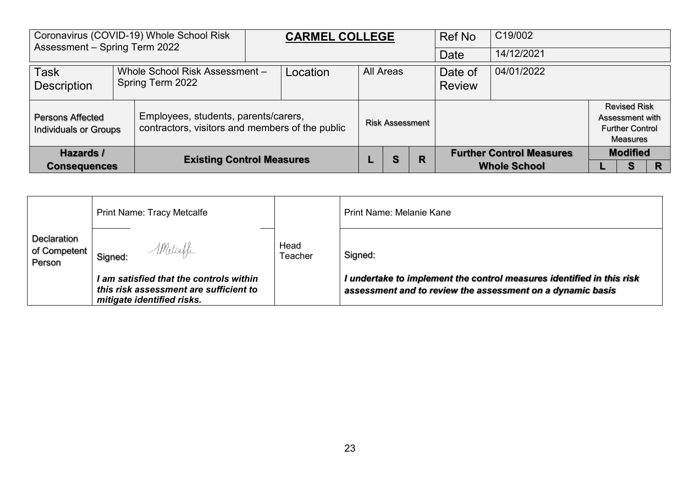| Coronavirus (COVID-19) Whole School Risk<br>Assessment - Spring Term 2022 |  |                                                                                         | <b>CARMEL COLLEGE</b> |                        |   | Ref No                   | C19/002                                                |                                                                              |   |
|---------------------------------------------------------------------------|--|-----------------------------------------------------------------------------------------|-----------------------|------------------------|---|--------------------------|--------------------------------------------------------|------------------------------------------------------------------------------|---|
|                                                                           |  |                                                                                         |                       |                        |   | Date                     | 14/12/2021                                             |                                                                              |   |
| Task<br><b>Description</b>                                                |  | Whole School Risk Assessment -<br>Spring Term 2022                                      | Location              | <b>All Areas</b>       |   | Date of<br><b>Review</b> | 04/01/2022                                             |                                                                              |   |
| <b>Persons Affected</b><br><b>Individuals or Groups</b>                   |  | Employees, students, parents/carers,<br>contractors, visitors and members of the public |                       | <b>Risk Assessment</b> |   |                          |                                                        | <b>Revised Risk</b><br>Assessment with<br><b>Further Control</b><br>Measures |   |
| <b>Hazards /</b><br><b>Consequences</b>                                   |  | <b>Existing Control Measures</b>                                                        |                       | S                      | R |                          | <b>Further Control Measures</b><br><b>Whole School</b> | <b>Modified</b><br>S                                                         | R |

|                                         | <b>Print Name: Tracy Metcalfe</b>                                                                               |                 | <b>Print Name: Melanie Kane</b>                                                                                                     |
|-----------------------------------------|-----------------------------------------------------------------------------------------------------------------|-----------------|-------------------------------------------------------------------------------------------------------------------------------------|
| Declaration<br>of Competent  <br>Person | Metcaffe<br>Signed:                                                                                             | Head<br>Teacher | Signed:                                                                                                                             |
|                                         | I am satisfied that the controls within<br>this risk assessment are sufficient to<br>mitigate identified risks. |                 | I undertake to implement the control measures identified in this risk<br>assessment and to review the assessment on a dynamic basis |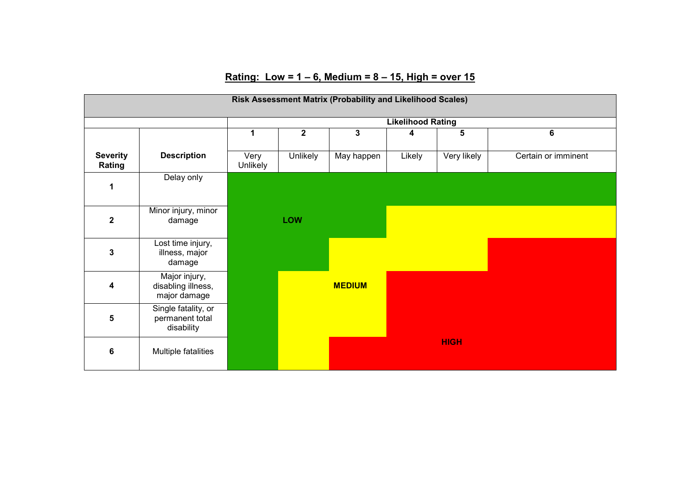## **Rating: Low = 1 – 6, Medium = 8 – 15, High = over 15**

|                           | Risk Assessment Matrix (Probability and Likelihood Scales) |                  |                         |               |        |                         |                     |  |  |  |  |  |
|---------------------------|------------------------------------------------------------|------------------|-------------------------|---------------|--------|-------------------------|---------------------|--|--|--|--|--|
|                           | <b>Likelihood Rating</b>                                   |                  |                         |               |        |                         |                     |  |  |  |  |  |
|                           |                                                            | 1                | $\overline{\mathbf{2}}$ | 3             | 4      | $\overline{\mathbf{5}}$ | $6\phantom{1}$      |  |  |  |  |  |
| <b>Severity</b><br>Rating | <b>Description</b>                                         | Very<br>Unlikely | Unlikely                | May happen    | Likely | Very likely             | Certain or imminent |  |  |  |  |  |
| 1                         | Delay only                                                 |                  |                         |               |        |                         |                     |  |  |  |  |  |
| $\mathbf 2$               | Minor injury, minor<br>damage                              |                  | <b>LOW</b>              |               |        |                         |                     |  |  |  |  |  |
| 3                         | Lost time injury,<br>illness, major<br>damage              |                  |                         |               |        |                         |                     |  |  |  |  |  |
| 4                         | Major injury,<br>disabling illness,<br>major damage        |                  |                         | <b>MEDIUM</b> |        |                         |                     |  |  |  |  |  |
| 5                         | Single fatality, or<br>permanent total<br>disability       |                  |                         |               |        |                         |                     |  |  |  |  |  |
| 6                         | Multiple fatalities                                        |                  |                         |               |        | <b>HIGH</b>             |                     |  |  |  |  |  |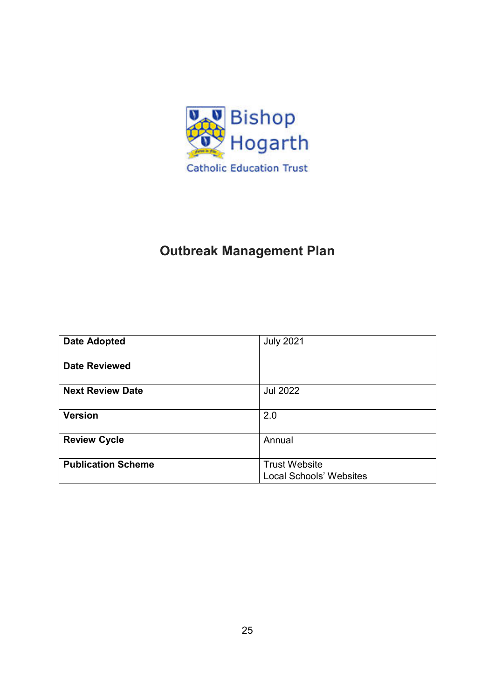

## **Outbreak Management Plan**

| <b>Date Adopted</b>       | <b>July 2021</b>               |
|---------------------------|--------------------------------|
| <b>Date Reviewed</b>      |                                |
| <b>Next Review Date</b>   | <b>Jul 2022</b>                |
|                           |                                |
| <b>Version</b>            | 2.0                            |
| <b>Review Cycle</b>       | Annual                         |
| <b>Publication Scheme</b> | <b>Trust Website</b>           |
|                           | <b>Local Schools' Websites</b> |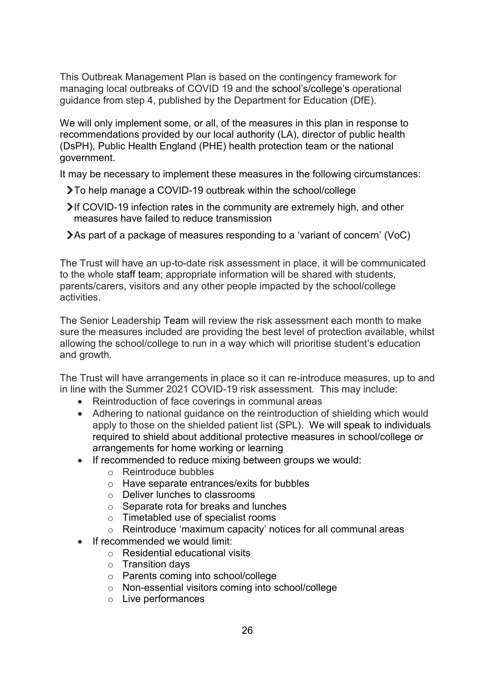This Outbreak Management Plan is based on the contingency framework for managing local outbreaks of COVID 19 and the school's/college's operational guidance from step 4, published by the Department for Education (DfE).

We will only implement some, or all, of the measures in this plan in response to recommendations provided by our local authority (LA), director of public health (DsPH), Public Health England (PHE) health protection team or the national government.

It may be necessary to implement these measures in the following circumstances:

- To help manage a COVID-19 outbreak within the school/college
- If COVID-19 infection rates in the community are extremely high, and other measures have failed to reduce transmission
- As part of a package of measures responding to a 'variant of concern' (VoC)

The Trust will have an up-to-date risk assessment in place, it will be communicated to the whole staff team; appropriate information will be shared with students, parents/carers, visitors and any other people impacted by the school/college activities.

The Senior Leadership Team will review the risk assessment each month to make sure the measures included are providing the best level of protection available, whilst allowing the school/college to run in a way which will prioritise student's education and growth.

The Trust will have arrangements in place so it can re-introduce measures, up to and in line with the Summer 2021 COVID-19 risk assessment. This may include:

- Reintroduction of face coverings in communal areas
- Adhering to national guidance on the reintroduction of shielding which would apply to those on the shielded patient list (SPL). We will speak to individuals required to shield about additional protective measures in school/college or arrangements for home working or learning
- If recommended to reduce mixing between groups we would:
	- o Reintroduce bubbles
	- o Have separate entrances/exits for bubbles
	- o Deliver lunches to classrooms
	- o Separate rota for breaks and lunches
	- o Timetabled use of specialist rooms
	- o Reintroduce 'maximum capacity' notices for all communal areas
- If recommended we would limit:
	- o Residential educational visits
	- $\circ$  Transition days
	- o Parents coming into school/college
	- o Non-essential visitors coming into school/college
	- o Live performances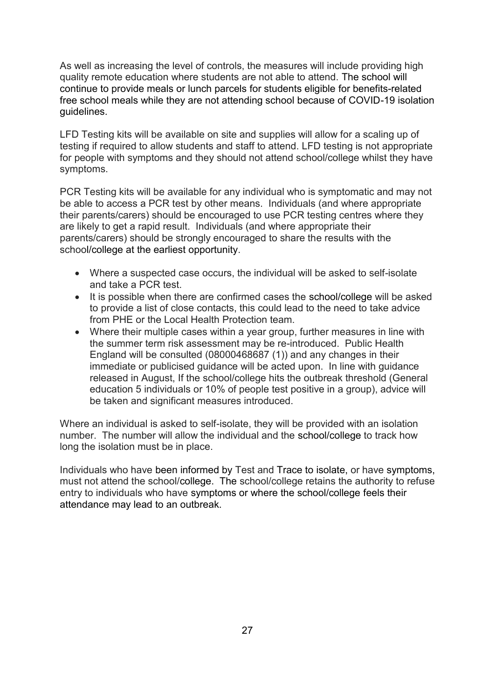As well as increasing the level of controls, the measures will include providing high quality remote education where students are not able to attend. The school will continue to provide meals or lunch parcels for students eligible for benefits-related free school meals while they are not attending school because of COVID-19 isolation guidelines.

LFD Testing kits will be available on site and supplies will allow for a scaling up of testing if required to allow students and staff to attend. LFD testing is not appropriate for people with symptoms and they should not attend school/college whilst they have symptoms.

PCR Testing kits will be available for any individual who is symptomatic and may not be able to access a PCR test by other means. Individuals (and where appropriate their parents/carers) should be encouraged to use PCR testing centres where they are likely to get a rapid result. Individuals (and where appropriate their parents/carers) should be strongly encouraged to share the results with the school/college at the earliest opportunity.

- Where a suspected case occurs, the individual will be asked to self-isolate and take a PCR test.
- It is possible when there are confirmed cases the school/college will be asked to provide a list of close contacts, this could lead to the need to take advice from PHF or the Local Health Protection team.
- Where their multiple cases within a year group, further measures in line with the summer term risk assessment may be re-introduced. Public Health England will be consulted (08000468687 (1)) and any changes in their immediate or publicised guidance will be acted upon. In line with guidance released in August, If the school/college hits the outbreak threshold (General education 5 individuals or 10% of people test positive in a group), advice will be taken and significant measures introduced.

Where an individual is asked to self-isolate, they will be provided with an isolation number. The number will allow the individual and the school/college to track how long the isolation must be in place.

Individuals who have been informed by Test and Trace to isolate, or have symptoms, must not attend the school/college. The school/college retains the authority to refuse entry to individuals who have symptoms or where the school/college feels their attendance may lead to an outbreak.